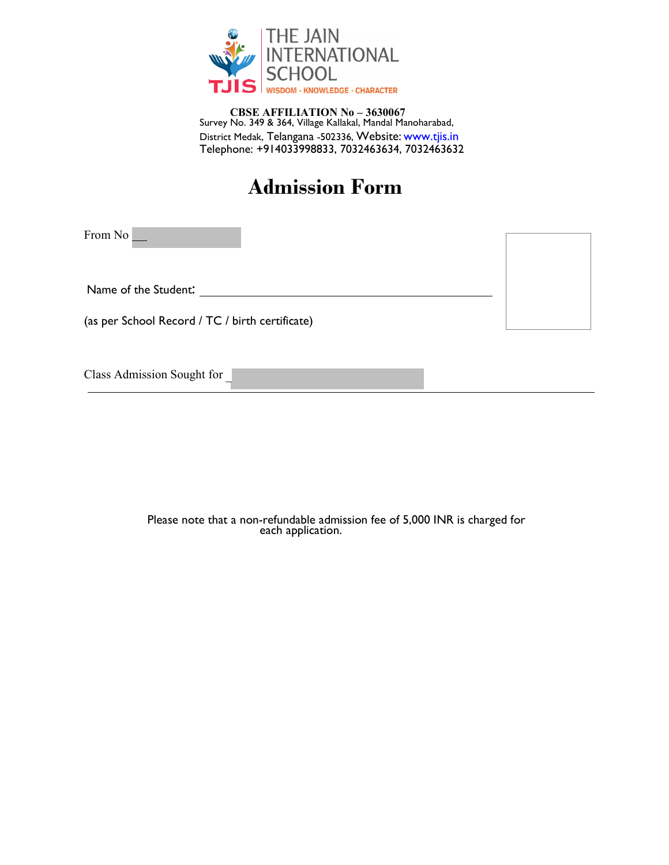

Survey No. 349 & 364, Village Kallakal, Mandal Manoharabad, District Medak, Telangana -502336, Website: www.tjis.in CBSE AFFILIATION No – 3630067 Telephone: +914033998833, 7032463634, 7032463632

# Admission Form

and the state of the state of the state of the

From No 

Name of the Student:

(as per School Record / TC / birth certificate)

Class Admission Sought for

Please note that a non-refundable admission fee of 5,000 INR is charged for each application.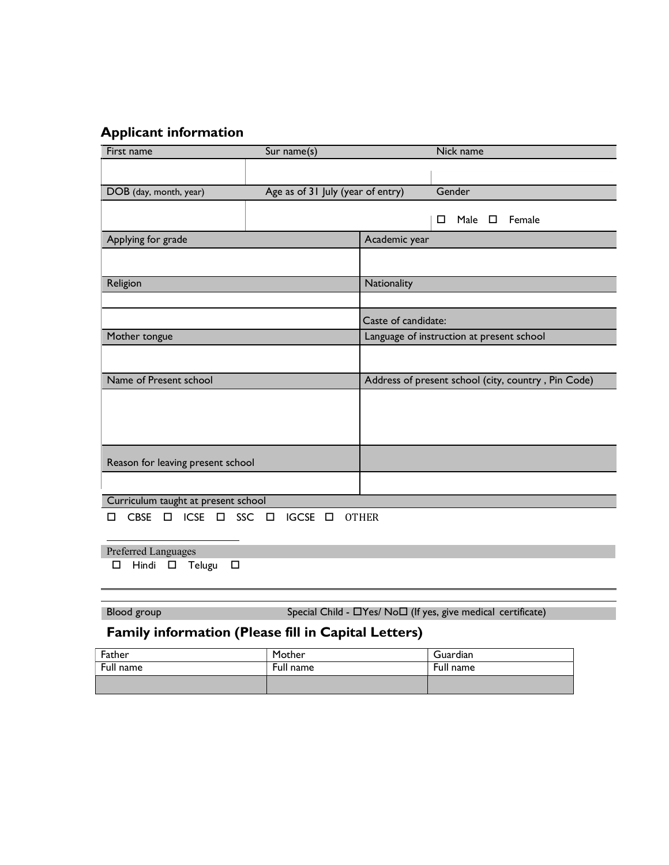## Applicant information

| First name                                                        | Sur name(s)                       |                                                     | Nick name                     |  |  |
|-------------------------------------------------------------------|-----------------------------------|-----------------------------------------------------|-------------------------------|--|--|
|                                                                   |                                   |                                                     |                               |  |  |
|                                                                   |                                   |                                                     |                               |  |  |
| DOB (day, month, year)                                            | Age as of 31 July (year of entry) |                                                     | Gender                        |  |  |
|                                                                   |                                   |                                                     | Female<br>Male $\square$<br>□ |  |  |
| Applying for grade                                                |                                   | Academic year                                       |                               |  |  |
|                                                                   |                                   |                                                     |                               |  |  |
| Religion                                                          |                                   | Nationality                                         |                               |  |  |
|                                                                   |                                   |                                                     |                               |  |  |
|                                                                   |                                   | Caste of candidate:                                 |                               |  |  |
| Mother tongue                                                     |                                   | Language of instruction at present school           |                               |  |  |
|                                                                   |                                   |                                                     |                               |  |  |
| Name of Present school                                            |                                   | Address of present school (city, country, Pin Code) |                               |  |  |
|                                                                   |                                   |                                                     |                               |  |  |
|                                                                   |                                   |                                                     |                               |  |  |
|                                                                   |                                   |                                                     |                               |  |  |
|                                                                   |                                   |                                                     |                               |  |  |
| Reason for leaving present school                                 |                                   |                                                     |                               |  |  |
|                                                                   |                                   |                                                     |                               |  |  |
| Curriculum taught at present school                               |                                   |                                                     |                               |  |  |
| <b>SSC</b><br><b>CBSE</b><br><b>ICSE</b><br>$\Box$<br>$\Box$<br>П | IGCSE O<br>$\Box$                 | <b>OTHER</b>                                        |                               |  |  |
| Preferred Languages                                               |                                   |                                                     |                               |  |  |

 $\square$  Hindi  $\square$  Telugu  $\square$ 

Blood group  $S$ pecial Child -  $\Box$  Yes/ No $\Box$  (If yes, give medical certificate)

## Family information (Please fill in Capital Letters)

| Father    | Mother    | Guardian  |
|-----------|-----------|-----------|
| Full name | Full name | Full name |
|           |           |           |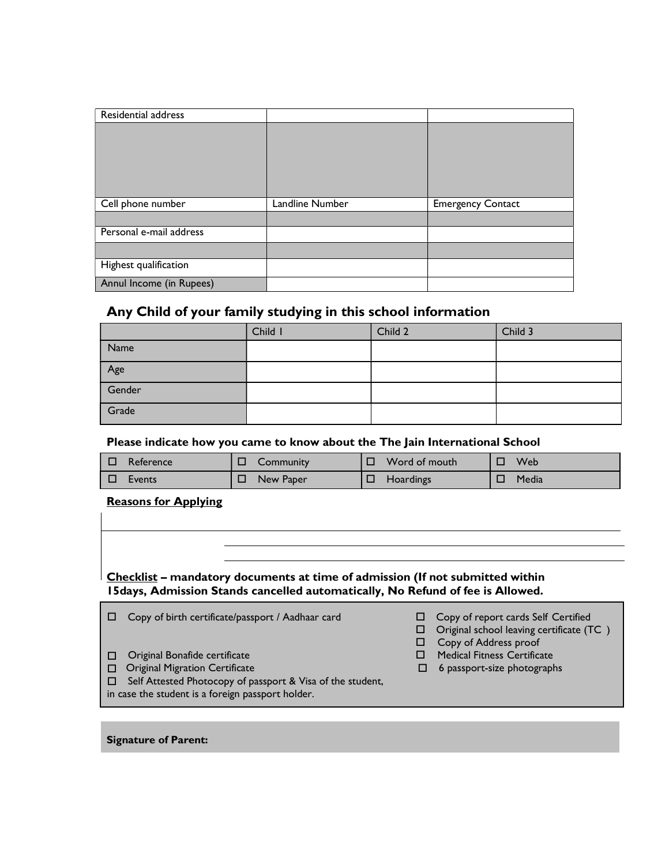| Residential address     |                 |                          |
|-------------------------|-----------------|--------------------------|
|                         |                 |                          |
|                         |                 |                          |
|                         |                 |                          |
|                         |                 |                          |
|                         |                 |                          |
|                         |                 |                          |
| Cell phone number       | Landline Number | <b>Emergency Contact</b> |
|                         |                 |                          |
| Personal e-mail address |                 |                          |
|                         |                 |                          |
| Highest qualification   |                 |                          |

#### Any Child of your family studying in this school information

|        | Child I | Child 2 | Child 3 |
|--------|---------|---------|---------|
| Name   |         |         |         |
| Age    |         |         |         |
| Gender |         |         |         |
| Grade  |         |         |         |

Please indicate how you came to know about the The Jain International School

| $\Box$ | Reference | Community | Word of mouth | <b>Web</b> |
|--------|-----------|-----------|---------------|------------|
| □      | Events    | New Paper | Hoardings     | Media      |

#### Reasons for Applying

Checklist – mandatory documents at time of admission (If not submitted within 15days, Admission Stands cancelled automatically, No Refund of fee is Allowed.

Signature of Parent: